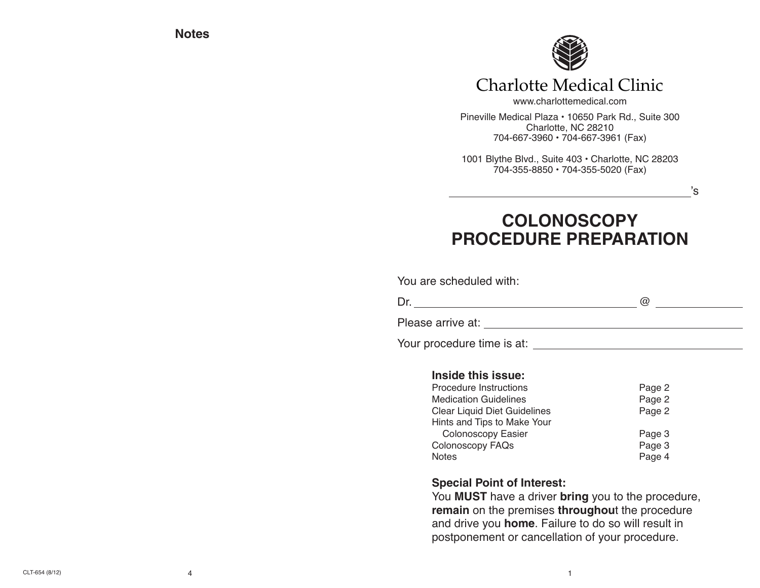**Notes**



## Charlotte Medical Clinic

www.charlottemedical.com Pineville Medical Plaza • 10650 Park Rd., Suite 300 Charlotte, NC 28210 704-667-3960 • 704-667-3961 (Fax)

1001 Blythe Blvd., Suite 403 • Charlotte, NC 28203 704-355-8850 • 704-355-5020 (Fax)

's

# **COLONOSCOPY PROCEDURE PREPARATION**

You are scheduled with:

Dr. @

Please arrive at: University of the set of the set of the set of the set of the set of the set of the set of the set of the set of the set of the set of the set of the set of the set of the set of the set of the set of the

Your procedure time is at:

#### **Inside this issue:**

| Procedure Instructions              | Page 2 |
|-------------------------------------|--------|
| <b>Medication Guidelines</b>        | Page 2 |
| <b>Clear Liquid Diet Guidelines</b> | Page 2 |
| Hints and Tips to Make Your         |        |
| Colonoscopy Easier                  | Page 3 |
| Colonoscopy FAQs                    | Page 3 |
| <b>Notes</b>                        | Page 4 |

#### **Special Point of Interest:**

You **MUST** have a driver **bring** you to the procedure, **remain** on the premises **throughou**t the procedure and drive you **home**. Failure to do so will result in postponement or cancellation of your procedure.